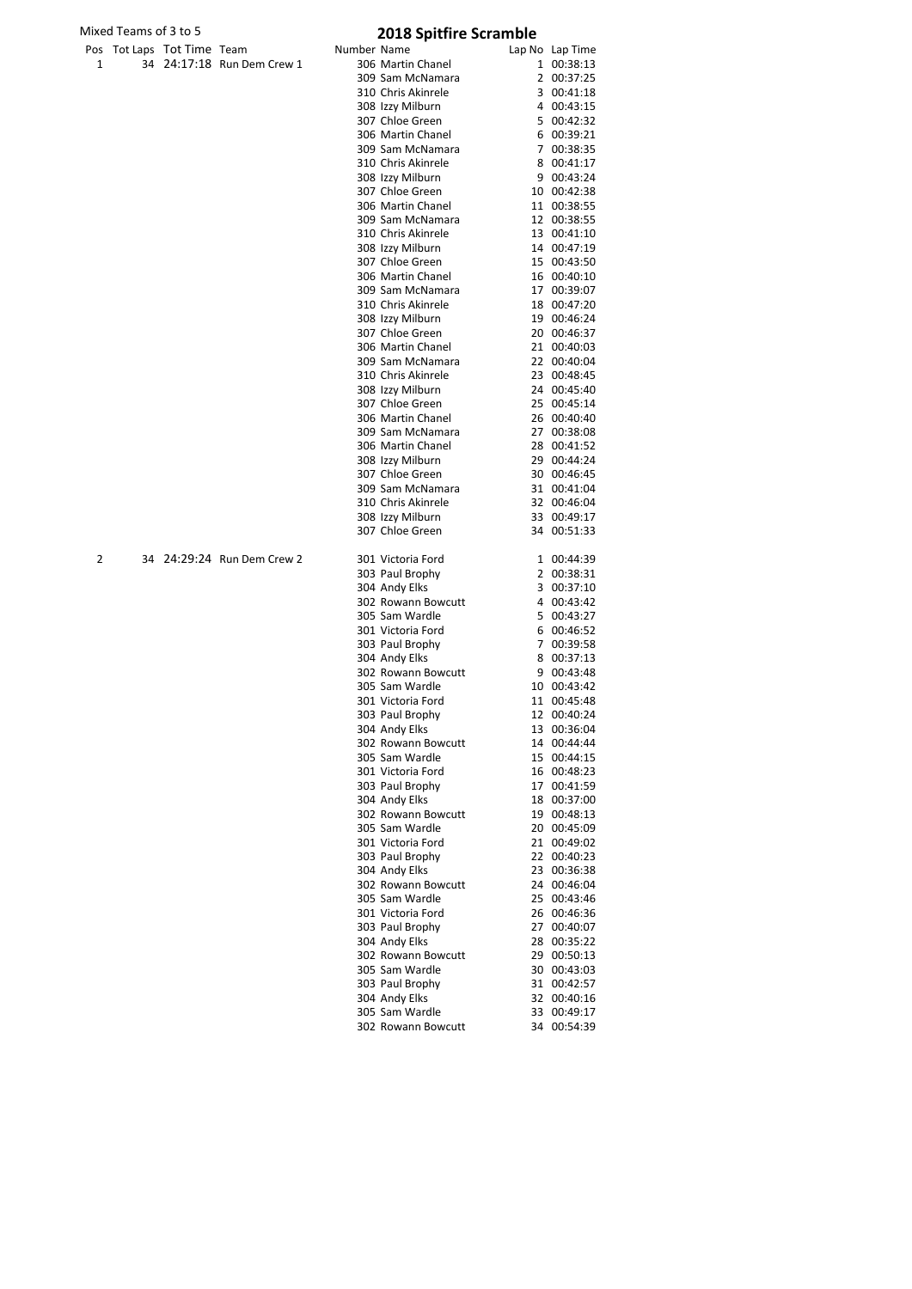|  | Pos Tot Laps Tot Time Team |                            |
|--|----------------------------|----------------------------|
|  |                            | 34 24:17:18 Run Dem Crew 1 |

| Mixed Teams of 3 to 5 |                            | <b>2018 Spitfire Scramble</b> |             |                                        |  |                            |
|-----------------------|----------------------------|-------------------------------|-------------|----------------------------------------|--|----------------------------|
|                       | Pos Tot Laps Tot Time Team |                               | Number Name |                                        |  | Lap No Lap Time            |
| 1                     |                            | 34 24:17:18 Run Dem Crew 1    |             | 306 Martin Chanel                      |  | 1 00:38:13                 |
|                       |                            |                               |             | 309 Sam McNamara                       |  | 2 00:37:25                 |
|                       |                            |                               |             | 310 Chris Akinrele                     |  | 3 00:41:18                 |
|                       |                            |                               |             | 308 Izzy Milburn                       |  | 4 00:43:15                 |
|                       |                            |                               |             | 307 Chloe Green                        |  | 5 00:42:32                 |
|                       |                            |                               |             | 306 Martin Chanel                      |  | 6 00:39:21                 |
|                       |                            |                               |             | 309 Sam McNamara<br>310 Chris Akinrele |  | 7 00:38:35<br>8 00:41:17   |
|                       |                            |                               |             | 308 Izzy Milburn                       |  | 9 00:43:24                 |
|                       |                            |                               |             | 307 Chloe Green                        |  | 10 00:42:38                |
|                       |                            |                               |             | 306 Martin Chanel                      |  | 11 00:38:55                |
|                       |                            |                               |             | 309 Sam McNamara                       |  | 12 00:38:55                |
|                       |                            |                               |             | 310 Chris Akinrele                     |  | 13 00:41:10                |
|                       |                            |                               |             | 308 Izzy Milburn                       |  | 14 00:47:19                |
|                       |                            |                               |             | 307 Chloe Green                        |  | 15 00:43:50                |
|                       |                            |                               |             | 306 Martin Chanel                      |  | 16 00:40:10                |
|                       |                            |                               |             | 309 Sam McNamara<br>310 Chris Akinrele |  | 17 00:39:07<br>18 00:47:20 |
|                       |                            |                               |             | 308 Izzy Milburn                       |  | 19 00:46:24                |
|                       |                            |                               |             | 307 Chloe Green                        |  | 20 00:46:37                |
|                       |                            |                               |             | 306 Martin Chanel                      |  | 21 00:40:03                |
|                       |                            |                               |             | 309 Sam McNamara                       |  | 22 00:40:04                |
|                       |                            |                               |             | 310 Chris Akinrele                     |  | 23 00:48:45                |
|                       |                            |                               |             | 308 Izzy Milburn                       |  | 24 00:45:40                |
|                       |                            |                               |             | 307 Chloe Green                        |  | 25 00:45:14                |
|                       |                            |                               |             | 306 Martin Chanel                      |  | 26 00:40:40                |
|                       |                            |                               |             | 309 Sam McNamara<br>306 Martin Chanel  |  | 27 00:38:08                |
|                       |                            |                               |             | 308 Izzy Milburn                       |  | 28 00:41:52<br>29 00:44:24 |
|                       |                            |                               |             | 307 Chloe Green                        |  | 30 00:46:45                |
|                       |                            |                               |             | 309 Sam McNamara                       |  | 31 00:41:04                |
|                       |                            |                               |             | 310 Chris Akinrele                     |  | 32 00:46:04                |
|                       |                            |                               |             | 308 Izzy Milburn                       |  | 33 00:49:17                |
|                       |                            |                               |             | 307 Chloe Green                        |  | 34 00:51:33                |
| 2                     |                            | 34 24:29:24 Run Dem Crew 2    |             | 301 Victoria Ford                      |  | 1 00:44:39                 |
|                       |                            |                               |             | 303 Paul Brophy                        |  | 2 00:38:31                 |
|                       |                            |                               |             | 304 Andy Elks                          |  | 3 00:37:10                 |
|                       |                            |                               |             | 302 Rowann Bowcutt                     |  | 4 00:43:42                 |
|                       |                            |                               |             | 305 Sam Wardle                         |  | 5 00:43:27                 |
|                       |                            |                               |             | 301 Victoria Ford<br>303 Paul Brophy   |  | 6 00:46:52<br>7 00:39:58   |
|                       |                            |                               |             | 304 Andy Elks                          |  | 8 00:37:13                 |
|                       |                            |                               |             | 302 Rowann Bowcutt                     |  | 9 00:43:48                 |
|                       |                            |                               |             | 305 Sam Wardle                         |  | 10 00:43:42                |
|                       |                            |                               |             | 301 Victoria Ford                      |  | 11 00:45:48                |
|                       |                            |                               |             | 303 Paul Brophy                        |  | 12 00:40:24                |
|                       |                            |                               |             | 304 Andy Elks                          |  | 13 00:36:04                |
|                       |                            |                               |             | 302 Rowann Bowcutt<br>305 Sam Wardle   |  | 14 00:44:44                |
|                       |                            |                               |             | 301 Victoria Ford                      |  | 15 00:44:15<br>16 00:48:23 |
|                       |                            |                               |             | 303 Paul Brophy                        |  | 17 00:41:59                |
|                       |                            |                               |             | 304 Andy Elks                          |  | 18 00:37:00                |
|                       |                            |                               |             | 302 Rowann Bowcutt                     |  | 19 00:48:13                |
|                       |                            |                               |             | 305 Sam Wardle                         |  | 20 00:45:09                |
|                       |                            |                               |             | 301 Victoria Ford                      |  | 21 00:49:02                |
|                       |                            |                               |             | 303 Paul Brophy                        |  | 22 00:40:23                |
|                       |                            |                               |             | 304 Andy Elks                          |  | 23 00:36:38                |
|                       |                            |                               |             | 302 Rowann Bowcutt<br>305 Sam Wardle   |  | 24 00:46:04<br>25 00:43:46 |
|                       |                            |                               |             | 301 Victoria Ford                      |  | 26 00:46:36                |
|                       |                            |                               |             | 303 Paul Brophy                        |  | 27 00:40:07                |
|                       |                            |                               |             | 304 Andy Elks                          |  | 28 00:35:22                |
|                       |                            |                               |             | 302 Rowann Bowcutt                     |  | 29 00:50:13                |
|                       |                            |                               |             | 305 Sam Wardle                         |  | 30 00:43:03                |
|                       |                            |                               |             | 303 Paul Brophy                        |  | 31 00:42:57                |
|                       |                            |                               |             | 304 Andy Elks                          |  | 32 00:40:16                |
|                       |                            |                               |             | 305 Sam Wardle                         |  | 33 00:49:17                |
|                       |                            |                               |             | 302 Rowann Bowcutt                     |  | 34 00:54:39                |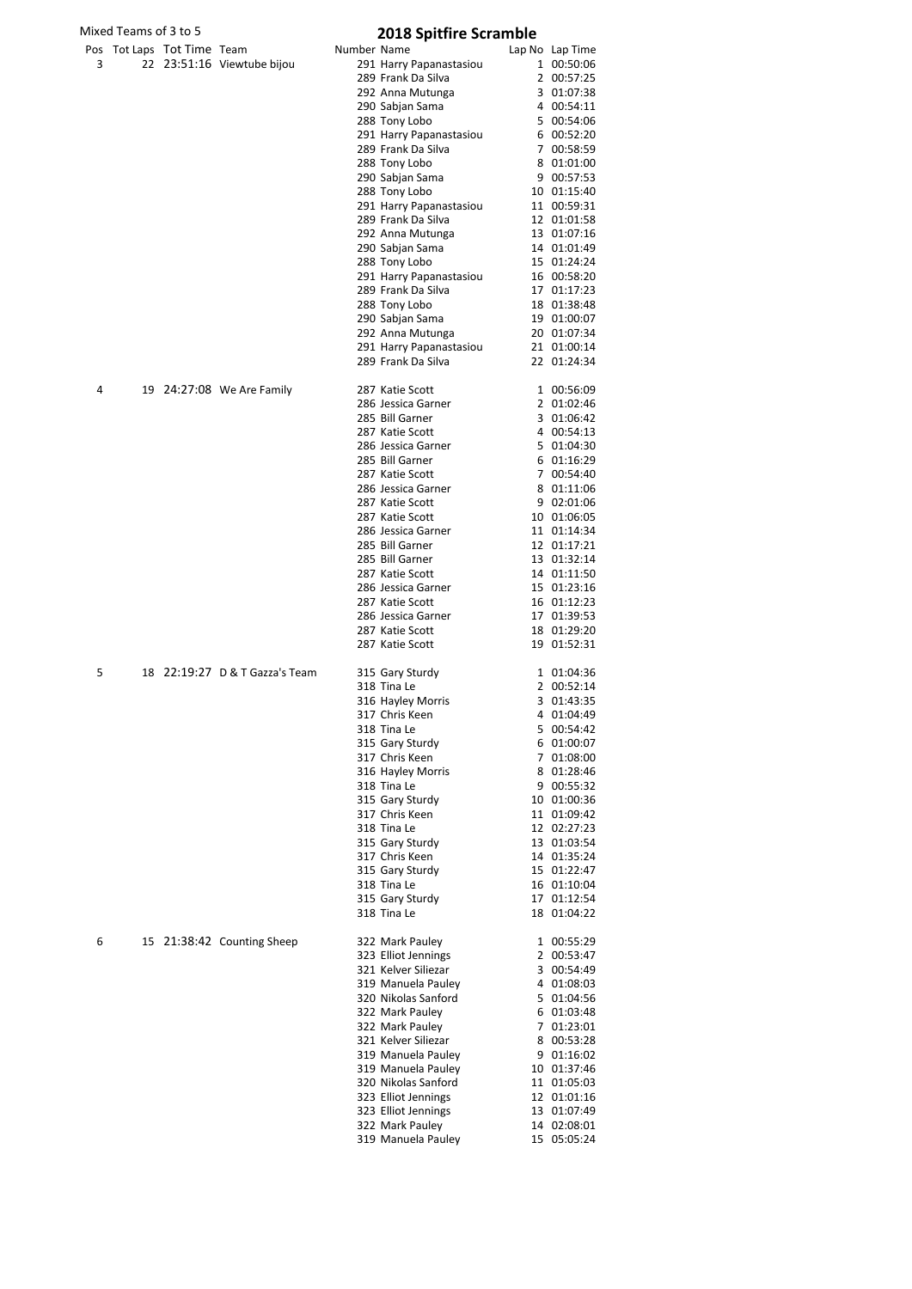| Mixed Teams of 3 to 5 |                            |  |                                | <b>2018 Spitfire Scramble</b> |                                           |  |                            |
|-----------------------|----------------------------|--|--------------------------------|-------------------------------|-------------------------------------------|--|----------------------------|
|                       | Pos Tot Laps Tot Time Team |  |                                | Number Name                   |                                           |  | Lap No Lap Time            |
| 3                     |                            |  | 22 23:51:16 Viewtube bijou     |                               | 291 Harry Papanastasiou                   |  | 1 00:50:06                 |
|                       |                            |  |                                |                               | 289 Frank Da Silva<br>292 Anna Mutunga    |  | 2 00:57:25<br>3 01:07:38   |
|                       |                            |  |                                |                               | 290 Sabjan Sama                           |  | 4 00:54:11                 |
|                       |                            |  |                                |                               | 288 Tony Lobo                             |  | 5 00:54:06                 |
|                       |                            |  |                                |                               | 291 Harry Papanastasiou                   |  | 6 00:52:20                 |
|                       |                            |  |                                |                               | 289 Frank Da Silva                        |  | 7 00:58:59                 |
|                       |                            |  |                                |                               | 288 Tony Lobo<br>290 Sabjan Sama          |  | 8 01:01:00<br>9 00:57:53   |
|                       |                            |  |                                |                               | 288 Tony Lobo                             |  | 10 01:15:40                |
|                       |                            |  |                                |                               | 291 Harry Papanastasiou                   |  | 11 00:59:31                |
|                       |                            |  |                                |                               | 289 Frank Da Silva                        |  | 12 01:01:58                |
|                       |                            |  |                                |                               | 292 Anna Mutunga<br>290 Sabjan Sama       |  | 13 01:07:16<br>14 01:01:49 |
|                       |                            |  |                                |                               | 288 Tony Lobo                             |  | 15 01:24:24                |
|                       |                            |  |                                |                               | 291 Harry Papanastasiou                   |  | 16 00:58:20                |
|                       |                            |  |                                |                               | 289 Frank Da Silva                        |  | 17 01:17:23                |
|                       |                            |  |                                |                               | 288 Tony Lobo                             |  | 18 01:38:48                |
|                       |                            |  |                                |                               | 290 Sabjan Sama<br>292 Anna Mutunga       |  | 19 01:00:07<br>20 01:07:34 |
|                       |                            |  |                                |                               | 291 Harry Papanastasiou                   |  | 21 01:00:14                |
|                       |                            |  |                                |                               | 289 Frank Da Silva                        |  | 22 01:24:34                |
| 4                     |                            |  | 19 24:27:08 We Are Family      |                               | 287 Katie Scott                           |  | 1 00:56:09                 |
|                       |                            |  |                                |                               | 286 Jessica Garner                        |  | 2 01:02:46                 |
|                       |                            |  |                                |                               | 285 Bill Garner                           |  | 3 01:06:42                 |
|                       |                            |  |                                |                               | 287 Katie Scott                           |  | 4 00:54:13                 |
|                       |                            |  |                                |                               | 286 Jessica Garner<br>285 Bill Garner     |  | 5 01:04:30<br>6 01:16:29   |
|                       |                            |  |                                |                               | 287 Katie Scott                           |  | 7 00:54:40                 |
|                       |                            |  |                                |                               | 286 Jessica Garner                        |  | 8 01:11:06                 |
|                       |                            |  |                                |                               | 287 Katie Scott                           |  | 9 02:01:06                 |
|                       |                            |  |                                |                               | 287 Katie Scott<br>286 Jessica Garner     |  | 10 01:06:05                |
|                       |                            |  |                                |                               | 285 Bill Garner                           |  | 11 01:14:34<br>12 01:17:21 |
|                       |                            |  |                                |                               | 285 Bill Garner                           |  | 13 01:32:14                |
|                       |                            |  |                                |                               | 287 Katie Scott                           |  | 14 01:11:50                |
|                       |                            |  |                                |                               | 286 Jessica Garner                        |  | 15 01:23:16                |
|                       |                            |  |                                |                               | 287 Katie Scott<br>286 Jessica Garner     |  | 16 01:12:23                |
|                       |                            |  |                                |                               | 287 Katie Scott                           |  | 17 01:39:53<br>18 01:29:20 |
|                       |                            |  |                                |                               | 287 Katie Scott                           |  | 19 01:52:31                |
| 5                     |                            |  | 18 22:19:27 D & T Gazza's Team |                               | 315 Gary Sturdy                           |  | 1 01:04:36                 |
|                       |                            |  |                                |                               | 318 Tina Le                               |  | 2 00:52:14                 |
|                       |                            |  |                                |                               | 316 Hayley Morris                         |  | 3 01:43:35                 |
|                       |                            |  |                                |                               | 317 Chris Keen<br>318 Tina Le             |  | 4 01:04:49<br>5 00:54:42   |
|                       |                            |  |                                |                               | 315 Gary Sturdy                           |  | 6 01:00:07                 |
|                       |                            |  |                                |                               | 317 Chris Keen                            |  | 7 01:08:00                 |
|                       |                            |  |                                |                               | 316 Hayley Morris                         |  | 8 01:28:46                 |
|                       |                            |  |                                |                               | 318 Tina Le                               |  | 9 00:55:32                 |
|                       |                            |  |                                |                               | 315 Gary Sturdy<br>317 Chris Keen         |  | 10 01:00:36<br>11 01:09:42 |
|                       |                            |  |                                |                               | 318 Tina Le                               |  | 12 02:27:23                |
|                       |                            |  |                                |                               | 315 Gary Sturdy                           |  | 13 01:03:54                |
|                       |                            |  |                                |                               | 317 Chris Keen                            |  | 14 01:35:24                |
|                       |                            |  |                                |                               | 315 Gary Sturdy<br>318 Tina Le            |  | 15 01:22:47<br>16 01:10:04 |
|                       |                            |  |                                |                               | 315 Gary Sturdy                           |  | 17 01:12:54                |
|                       |                            |  |                                |                               | 318 Tina Le                               |  | 18 01:04:22                |
| 6                     |                            |  | 15 21:38:42 Counting Sheep     |                               | 322 Mark Pauley                           |  | 1 00:55:29                 |
|                       |                            |  |                                |                               | 323 Elliot Jennings                       |  | 2 00:53:47                 |
|                       |                            |  |                                |                               | 321 Kelver Siliezar                       |  | 3 00:54:49                 |
|                       |                            |  |                                |                               | 319 Manuela Pauley<br>320 Nikolas Sanford |  | 4 01:08:03<br>5 01:04:56   |
|                       |                            |  |                                |                               | 322 Mark Pauley                           |  | 6 01:03:48                 |
|                       |                            |  |                                |                               | 322 Mark Pauley                           |  | 7 01:23:01                 |
|                       |                            |  |                                |                               | 321 Kelver Siliezar                       |  | 8 00:53:28                 |
|                       |                            |  |                                |                               | 319 Manuela Pauley<br>319 Manuela Pauley  |  | 9 01:16:02<br>10 01:37:46  |
|                       |                            |  |                                |                               | 320 Nikolas Sanford                       |  | 11 01:05:03                |
|                       |                            |  |                                |                               | 323 Elliot Jennings                       |  | 12 01:01:16                |
|                       |                            |  |                                |                               | 323 Elliot Jennings                       |  | 13 01:07:49                |
|                       |                            |  |                                |                               | 322 Mark Pauley                           |  | 14 02:08:01                |
|                       |                            |  |                                |                               | 319 Manuela Pauley                        |  | 15 05:05:24                |